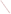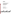

# **Environmental Technology Verification Program**  Advanced Monitoring Systems Center

Test/QA Plan for Verification of Test Kits for Detection of Atrazine in Water

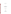# **TEST/QA PLAN**

**for** 

## **VERIFICATION OF TEST KITS FOR DETECTION OF ATRAZINE IN WATER**

**September 15, 2003** 

**Prepared by** 

**Battelle 505 King Avenue Columbus, OH 43201-2693**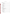# **TABLE OF CONTENTS**

| 1.0 |       |  |
|-----|-------|--|
| 1.2 |       |  |
| 1.3 |       |  |
|     | 1.3.1 |  |
|     | 1.3.2 |  |
|     | 1.3.3 |  |
|     | 1.3.4 |  |
|     | 1.3.5 |  |
| 2.0 |       |  |
| 2.1 |       |  |
| 2.2 |       |  |
|     |       |  |
| 2.3 |       |  |
|     | 2.3.1 |  |
|     | 2.3.2 |  |
|     | 2.3.3 |  |
| 2.4 |       |  |
| 3.0 |       |  |
| 3.1 |       |  |
| 3.2 |       |  |
|     |       |  |
| 4.0 |       |  |
| 4.1 |       |  |
| 4.2 |       |  |
| 4.3 |       |  |
|     | 4.3.1 |  |
|     | 4.3.2 |  |
| 4.4 |       |  |
| 4.5 |       |  |
|     | 4.5.1 |  |
|     |       |  |
| 4.6 |       |  |
| 5.0 |       |  |
| 5.1 |       |  |
| 5.2 |       |  |
|     | 5.2.1 |  |
|     | 5.2.2 |  |
|     | 5.2.3 |  |
|     |       |  |
|     | 5.2.4 |  |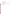|     | 5.2.5 |  |
|-----|-------|--|
|     | 5.2.6 |  |
|     | 5.2.7 |  |
| 5.3 |       |  |
| 6.0 |       |  |
| 6.1 |       |  |
| 6.2 |       |  |
|     |       |  |
|     |       |  |
|     |       |  |
| 6.3 |       |  |
| 6.4 |       |  |
| 6.5 |       |  |
| 7.0 |       |  |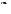#### **LIST OF TABLES**

| Table 2. Calibration Procedures for Sample Preparation and Physico-chemical |  |
|-----------------------------------------------------------------------------|--|
|                                                                             |  |
|                                                                             |  |
|                                                                             |  |

## **LIST OF FIGURES**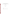## **ETV Advanced Monitoring Systems Center**

## Test/QA Plan for Verification of Test Kits for Atrazine in Water

Version 1.0

September 15, 2003

## APPROVAL:

Name \_\_\_\_\_\_\_\_\_\_\_\_\_\_\_\_\_\_\_\_\_\_\_\_\_\_\_\_\_\_\_\_\_\_

Company \_\_\_\_\_\_\_\_\_\_\_\_\_\_\_\_\_\_\_\_\_\_\_\_\_\_\_\_\_\_\_

Date \_\_\_\_\_\_\_\_\_\_\_\_\_\_\_\_\_\_\_\_\_\_\_\_\_\_\_\_\_\_\_\_\_\_\_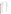#### **DISTRIBUTION LIST**

Elizabeth A. Betz U.S. Environmental Protection Agency National Exposure Research Laboratory MD-44 Research Triangle Park, NC 27711

Robert Fuerst U.S. Environmental Protection Agency National Exposure Research Laboratory Mail Drop D-205-05 4930 Old Page Road Research Triangle Park, NC 27709

Elin Ulrich U.S. Environmental Protection Agency National Exposure Research Laboratory Mail Drop D-205-05 4930 Old Page Road Research Triangle Park, NC 27709

James Brady Syngenta Crop Protection 410 Swing Road Greensboro, NC 27419

Brian Skoczenski Beacon Analytical 383 Presumpscot St. Portland, ME 04103

Fernando Rubio Abraxis 54 Steamwhistle Drive Warminster, PA 18974

Tom Round Silver Lake Research 911 S. Primrose Ave. Monrovia, CA 91016

Bob Ferguson Strategic Diagnostics Inc. 111 Pencader Drive Newark DE 19702

Kenneth Wood Senior Consultant DuPont Corporate Environmental Engineering Group Brandywine Building 9212 Wilmington, DE 19898

Marty Link Groundwater Section Nebraska Dept. of Environmental Quality 1200 N St., Suite 400 P.O. Box 98922 Lincoln, NE 68509-8922

Elizabeth Flynt U.S. Environmental Protection Agency Environmental Chemistry Laboratory Bldg. 1105, Room D416 Stennis Space Center, MS 39529

Geoff Scott In Care of: Paul Pennington NOAA/National Ocean Service 219 Fort Johnson Road Charleston, SC 29412-9110

Craig Adams University of Missouri – Rolla Department of Civil, Architectural & Environmental Engineering Rolla, MO 65409

Joe Peters Alan Cherepon Texas Commission on Environmental Quality Building MC-147 12100 Park 35 Circle Austin, TX 78753

Karen Riggs Amy Dindal Zachary Willenberg Battelle 505 King Ave. Columbus, OH 43201

Patricia White Bo Liu Rosanna Buhl Battelle 397 Washington St. Duxbury, MA 02332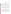#### **1.0 INTRODUCTION**

#### **1.1 Test Description**

This test/quality assurance (QA) plan provides procedures for a performance verification test of test kits for the analysis of atrazine in water. The verification test will be conducted under the auspices of the U.S. Environmental Protection Agency (EPA) through the Environmental Technology Verification (ETV) Program. The purpose of ETV is to provide objective and quality-assured performance data on environmental technologies so that users, developers, regulators, and consultants can make informed decisions about purchasing and applying these technologies.

The verification test will be performed by Battelle, which is managing the ETV Advanced Monitoring Systems (AMS) Center through a cooperative agreement with EPA. The scope of the AMS Center covers verification of monitoring technologies for contaminants and natural species in air, water, and soil. In performing the verification test, Battelle will follow the procedures specified in this test/QA plan and will comply with the data quality requirements in the "Quality Management Plan for the ETV Advanced Monitoring Systems Center" (AMS Center QMP).<sup>1</sup>

#### **1.2 Test Objective**

The verification of test kits for the detection of atrazine in water will be conducted to determine the analytical and operational performance characteristics of these technologies. These technologies are typically based on immunoassay methods, where specific antibodies are used to detect and measure the analytes of interest. Immunoassay-based test kits utilize a competitive enzyme-linked immunosorbent assay (ELISA), where atrazine in the sample competes with enzyme-labeled atrazine for a limited number of antibody binding sites specific to atrazine. After an incubation period, a magnetic field may be used to separate the bound and unbound atrazine. A simple wash step is typically followed by a color development step. The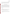sample concentration is inversely proportional to color development, with a darker color indicating a lower sample concentration and a lighter color indicating a higher concentration.

A variety of quality control (QC), performance test, and environmental water samples will be analyzed to assess the capabilities of the test kits relative to an accepted reference laboratory method.

#### **1.3 Organization and Responsibility**

The verification test will be performed by Battelle with the assistance of the following partner organizations: National Oceanographic and Atmospheric Administration National Ocean Service (NOAA/NOS), Texas Commission on Environmental Quality (TCEQ), EPA's Environmental Chemistry Laboratory at the Stennis Space Center (Stennis, Mississippi), and the University of Missouri – Rolla. The testing will occur at Battelle's Duxbury, Massachusetts laboratory. The organizational chart provided in Figure 1 identifies the responsibilities of the organizations and individuals associated with the verification test. Roles and responsibilities are defined further below.

#### **1.3.1 Battelle**

Ms. Patricia White is the AMS Center Verification Test Coordinator. In this role, Ms. White will have overall responsibility for ensuring that the technical, schedule, and cost goals established for the verification test are met. Specifically, Ms. White will:

- Assemble a team of qualified technical staff to conduct the verification test.
- Direct the team in performing the verification test in accordance with the test/QA plan.
- Ensure that all quality procedures specified in the test/QA plan and in the AMS Center QMP are followed.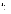

**Figure 1. Organization Chart for the Verification Test**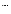- Prepare the draft and final test/QA plan, verification reports, and verification statements.
- Revise the draft test/QA plan, verification reports, and verification statements in response to reviewers' comments.
- Respond to any issues raised in assessment reports and audits, including instituting corrective action as necessary.
- Serve as the primary point of contact for vendor representatives.
- Coordinate distribution of the final test/QA plan, verification reports and statements.
- Establish a budget for the verification test and monitor staff effort to ensure that budget is not exceeded.
- Ensure that confidentiality of vendor information is maintained.

Ms. Amy Dindal is a Verification Testing Leader for the AMS Center. Ms. Dindal will provide technical guidance and oversee the various stages of verification testing. She will:

- Support Ms. White in preparing the test/QA plan and organizing the testing.
- Review the draft and final test/QA plan.
- Review the draft and final verification reports and verification statements.

Ms. Karen Riggs is Battelle's manager for the AMS Center. Ms. Riggs will:

- Review the draft and final test/QA plan.
- Review the draft and final verification reports and verification statements.
- Ensure that necessary Battelle resources, including staff and facilities, are committed to the verification test.
- Ensure that vendor confidentiality is maintained.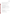- Support Ms. White in responding to any issues raised in assessment reports and audits.
- Maintain communication with EPA's technical and quality managers.

Battelle Technical Staff will conduct the testing of the atrazine test kits during the verification test. The responsibilities of the technical staff include:

- Assist in the collection, receipt, and storage of environmental samples.
- Filter environmental water samples, as required.
- Measure physico-chemical parameters on environmental water samples prior to preparation of atrazine-fortified samples.
- Prepare the atrazine spiking solution and fortify the test samples as required.
- Split and ship water samples to the reference laboratory for measurement of atrazine, and to the subcontract laboratory for analysis of dissolved organic carbon (DOC) as part of the physico-chemical characterization.
- Perform test kit analyses, as required.

Mr. Zachary Willenberg is Battelle's Quality Manager for the AMS Center. Mr. Willenberg will:

- Review the draft and final test/QA plan.
- Conduct a technical systems audit once during the verification test, or designate another QA Manager to conduct the audit.
- Audit at least 10% of the verification data.
- Prepare and distribute an assessment report for each audit.
- Verify implementation of any necessary corrective action.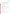- Issue a stop work order if self audits indicate that data quality is being compromised; notify Battelle's AMS Center Manager if a stop work order is issued.
- Provide a summary of the QA/QC activities and results for the verification reports.
- Review the draft and final verification reports and verification statements.
- Assume overall responsibility for ensuring that the test/QA plan is followed.

## **1.3.2 Partner Organizations**

The responsibilities of the partner organizations supporting the verification test are as follows:

- Review the draft test/OA plan.
- Technical staff from NOAA/NOS and the University of Missouri Rolla will assist in the collection of environmental water samples for analysis in the test and ship them to Battelle.
- Technical staff from TCEQ will analyze test samples using the atrazine test kits at Battelle.
- The EPA Environmental Chemistry Laboratory at the Stennis Space Center will provide reference laboratory analyses for atrazine in water.

## **1.3.3 Vendors**

The responsibilities of the vendor representatives are as follows:

- Review the draft test/QA plan.
- Approve the test/QA plan prior to test initiation.
- Provide off-the-shelf test kits for analysis of all verification test samples.
- Provide all other equipment needed to complete the immunoassay analyses, including a spectrophotometer.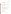- If desired, provide training to Battelle and TCEQ personnel on operating the test kits and associated equipment prior to testing.
- Review the draft verification report and statement.

## **1.3.4 EPA**

EPA's responsibilities in the AMS Center are based on the requirements stated in the "Environmental Technology Verification Program Quality Management Plan" (EPA QMP).<sup>2</sup> The roles of the specific EPA staff are as follows:

Ms. Elizabeth Betz is EPA's AMS Center Quality Manager. For the verification test, Ms. Betz will:

- Review the draft test/QA plan.
- Perform at her option one external technical system audit during the verification test.
- Notify the EPA AMS Center Manager of the need for a stop work order if external audit indicates that data quality is being compromised.
- Prepare and distribute an assessment report summarizing results of external audit.
- Review draft verification reports and statements.

Mr. Robert Fuerst is EPA's manager for the EPA AMS Center. Mr. Fuerst will:

- Review the draft test/QA plan.
- Approve the final test/QA plan.
- Review the draft verification reports and statements.
- Oversee the EPA review process of the verification reports and statements.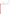• Coordinate the submission of verification reports and statements for final EPA approval.

#### **1.3.5 Subcontract Laboratory**

A subcontract laboratory, Severn-Trent Laboratories (STL) in Burlington, Vermont will be utilized to analyze DOC in environmental samples as part of the physico-chemical characterization. Mr. Kirk Young is STL's project manager. For the verification test, Mr. Young will provide QA-reviewed DOC results as requested for water samples.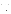#### **2.0 VERIFICATION APPROACH**

#### **2.1 Scope of Testing**

This test/QA plan specifically addresses verification of immunoassay test kits that provide qualitative, semi-quantitative, or quantitative measurements of atrazine in water. Test kits that provide qualitative results only indicate the presence or absence of the target analyte relative to a regulatory or health-based concentration level. Test kit methods that provide semiquantitative results determine the presence or absence of the analyte within a specified concentration interval. Quantitative results can be obtained using test kits that generate a calibration curve using a range of analyte concentrations. The vendor will specify the type of the measurement provided by the test kit to be verified.

Qualitative test kits are designed to be operated by non-technical users. Semi-quantitative and quantitative immunoassay test kits will yield more consistent and reliable results when operated by an experienced user. In this verification test, an analyst with previous experience in using immunoassay test kits will analyze all test samples to minimize the error introduced by operator inexperience.

Test kits that are specific for atrazine are typically cross-reactive for a variety of triazine analogues, some of which are degradation products of atrazine. Cross-reactivity information is typically provided in the test kit documentation. It is assumed that most users of these kits will perform laboratory analysis of samples that provide a positive immunoassay response to confirm the presence and concentration of atrazine in the sample (i.e., the test kits will be used primarily as a screen for the possible presence of atrazine). As such, this test will not verify all vendorprovided information on cross-reactivity; however, the effect of two cross-reactive atrazine degradation products (hydroxyatrazine and desethyl atrazine) on test kit performance will be verified. It is assumed that most users of these kits will perform laboratory analysis of samples that provide a positive immunoassay response to confirm the presence and concentration of atrazine in the sample (i.e., the test kits will be used primarily as a screen for the possible presence of atrazine).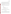Natural and atrazine-fortified water samples will be analyzed using both the immunoassay test kits and an appropriate reference method. A variety of sample matrices will be tested: ASTM Type I water, fresh pond water, brackish pond water, shallow (i.e., alluvial) groundwater, and chlorinated drinking water. These matrices are examples of water types that are typically monitored using immunoassay test kits to give a sense of the performance using a variety of matrices. However, this is not intended to be an exhaustive study nor to represent all possible water types that could be tested.

The performance of each test kit will be evaluated quantitatively by comparing the test kit and reference method results. Each test kit also will be qualitatively evaluated for ease of use, cost, and sample throughput. The test kits will be evaluated for the following parameters:

- accuracy
- precision
- linearity
- method detection limit
- cross reactivity of hydroxyatrazine and desethyl atrazine
- matrix interference effects, and
- occurrence of false positive and false negative results.

Qualitative technologies will not be evaluated for linearity or method detection limit because they only provide a positive or negative result relative to a specified concentration level. The experimental design is described further below.

#### **2.2 Experimental Design**

The verification will involve challenging each test kit with a variety of water samples that are intended to represent those typically monitored using the test kits. Sample matrices will include fresh pond water, brackish pond water, alluvial groundwater, and chlorinated drinking water. Natural and atrazine-fortified (i.e., unspiked and spiked) samples of each matrix will be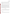analyzed. ASTM Type I water samples fortified with atrazine or an atrazine degradation product also will be analyzed. Physico-chemical parameters (pH, temperature, salinity, conductivity, alkalinity, and DOC) will be measured in environmental samples to provide supporting characterization data.

All samples will be analyzed by each test kit and by the reference method. Each sample will be analyzed in triplicate with each test kit. Samples will be given to the analyst blind and in random order.

Test kit and reference method results will be used to assess test kit accuracy and linearity. Replicate sample results will be used to assess test kit precision. Results for replicates of a lowlevel spiked sample will be used to evaluate the method detection limit. Cross-reactivity of hydroxyatrazine and desethyl atrazine will be assessed by evaluating the test kit results for samples that contain only the degradation compound, but not atrazine. Potential matrix effects will be assessed by comparing accuracy and precision results for environmental samples (i.e., chlorinated drinking water, fresh surface water, brackish surface water and groundwater) to those for ASTM Type I water samples. Performance parameters, such as ease of use and reliability, will be based on documented observations of the analyst. Sample throughput will be estimated based on the time required to analyze a sample set.

#### **2.3 Test Samples**

Test samples to be used in this verification test will include QC samples, performance test (PT) samples, and environmental water samples. Table 1 lists the number and type of each sample to be analyzed in the verification test. Each type of test sample is described further below.

#### **2.3.1 QC Samples**

QC samples will include reagent blank (RB) and calibration check samples. The RB samples will be prepared from ASTM Type I water and will be exposed to identical sample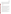preparation and analysis procedures as the test samples, including the addition of all reagents. These samples will be used to help ensure that no sources of contamination are introduced in the sample handling and analysis procedures. At least 10% of the test samples will be RB samples.

Calibration check samples may be used to verify that the test kits are properly calibrated and reading within defined control limits. Calibration check samples will be analyzed in accordance with the vendor-provided test kit protocol using standards or calibration check samples supplied by the vendor.

#### **2.3.2 PT Samples**

PT sample types are listed in Table 1. The first type of PT sample consists of ASTM Type I water spiked at five different atrazine concentration levels. The PT sample concentrations will span the calibration range of the immunoassay test kits. This range includes the EPA maximum contaminant level (MCL) for atrazine in drinking water, which is 3 parts per billion [ppb]<sup>3</sup>. Three replicates of each PT sample will be analyzed using the test kits.

The second type of PT sample is a low-level atrazine fortified sample. Seven replicates of this sample will be analyzed for the method detection limit determination. This sample will be spiked at a level of two times the vendor-stated test kit detection limit.

The third type of PT sample is a cross-reactivity check sample. Two samples will consist of ASTM Type I water spiked with two different cross-reactive atrazine degradation products (hydroxyatrazine and desethyl atrazine) at a level of 3 ppb. Three replicates of each crossreactivity check sample will be analyzed using the test kits. One replicate will be analyzed by the reference method to confirm the absence of atrazine in the samples.

All PT samples will be prepared in the Battelle laboratory using a certified, commercially-available standards. PT sample results will be used to assess test kit accuracy, precision, linearity, method detection limit, cross-reactivity, and occurrence of false positive and false negative results using the data analysis methods described in Section 5.2.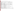## **Table 1. Sample Summary for Verification of Test Kits for Atrazine in Water**

|                                            |                                                         | <b>Replicates</b> | <b>Total No.</b><br>laboratory |                                 |
|--------------------------------------------|---------------------------------------------------------|-------------------|--------------------------------|---------------------------------|
|                                            |                                                         | for test kit      | reference                      |                                 |
| Type of sample                             | <b>Description</b>                                      | analysis          | analyses                       | Performance Factor <sup>1</sup> |
| <b>Quality Control</b>                     |                                                         |                   |                                |                                 |
| Reagent blanks (10%)                       | minimum 10% frequency                                   | 20                |                                | False positive/negative         |
| Calibration check samples                  | As required by the test kit protocol                    | <b>TBD</b>        | $\mathbf{0}$                   |                                 |
| <b>Performance Test</b>                    |                                                         |                   |                                |                                 |
| Performance test #1                        | $0.1$ ppb atrazine                                      | 3                 |                                |                                 |
| Performance test #2                        | 0.5 ppb atrazine                                        | 3                 |                                | Accuracy, precision,            |
| Performance test #3                        | 1 ppb atrazine                                          | 3                 |                                | linearity, false                |
| Performance test #4                        | 3 ppb atrazine                                          | 3                 |                                | positive/negative               |
| Performance test #5                        | 5 ppb atrazine                                          | 3                 |                                |                                 |
| Method detection limit                     | Atrazine concentration 2X vendor-stated detection limit | $\tau$            |                                | Method detection limit          |
| Cross-reactivity test #1                   | 3 ppb hydroxyatrazine                                   | 3                 |                                | Cross-reactivity, false         |
| Cross-reactivity test #2                   | 3 ppb desethyl atrazine                                 | 3                 |                                | positive/negative               |
| <b>Environmental</b>                       |                                                         |                   |                                |                                 |
| Fresh water                                | Fresh surface water, unspiked                           | 3                 |                                |                                 |
| Fresh water spike #1                       | Fresh surface water with 1 ppb atrazine spike           | 3                 |                                |                                 |
| Fresh water spike #2                       | Fresh surface water with 3 ppb atrazine spike           | 3                 |                                |                                 |
|                                            |                                                         |                   |                                |                                 |
| Brackish water<br>Brackish water, unspiked |                                                         | 3                 |                                |                                 |
| Brackish water spike #1                    | Brackish water with 1 ppb atrazine spike                | 3                 |                                |                                 |
| Brackish water spike #2                    | Brackish water with 3 ppb atrazine spike                | 3                 |                                | Accuracy, precision, matrix     |
|                                            |                                                         |                   |                                | effects, false                  |
| Groundwater                                | Groundwater, unspiked                                   | 3                 |                                | positive/negative               |
| Groundwater spike #1                       | Groundwater with 1 ppb atrazine spike                   | 3                 |                                |                                 |
| Groundwater spike #2                       | Groundwater with 3 ppb atrazine spike                   | 3                 |                                |                                 |
|                                            |                                                         |                   |                                |                                 |
| Treated drinking water                     | Chlorinated drinking water                              | 3                 |                                |                                 |
| Treated drinking water spike #1            | Chlorinated drinking water with 1 ppb spike             | 3                 |                                |                                 |
| Treated drinking water spike #2            | Chlorinated drinking water with 3 ppb atrazine spike    | 3                 |                                |                                 |
| Performance Evaluation Sample              |                                                         |                   |                                |                                 |
| Total                                      |                                                         | 84                | 21                             |                                 |

 $1$  Other performance factors to be evaluated qualitatively include ease of use and reliability.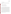#### **2.3.3 Environmental Samples**

Environmental samples will be collected from a variety of sources to evaluate the performance of the test kits with various sample matrices. Samples will be collected from the following sources:

- Fresh surface water from a South Carolina pond
- Brackish surface water from a South Carolina pond
- Groundwater from an alluvial aquifer in the Midwest
- Chlorinated drinking water from the Battelle laboratory.

Some test kit protocols recommend filtration for removal of gross particulate matter prior to sample analysis. Therefore, the fresh and brackish pond water samples will be filtered with a 0.45 µm filter in the laboratory prior to sample spiking/preparation and analysis. After filtration, the following physico-chemical parameters will be measured in each environmental water sample to characterize the sample matrix: pH, temperature, salinity, conductivity, and alkalinity. An aliquot of each environmental sample will be collected and sent to the subcontract laboratory for DOC analysis. The physico-chemical parameters will be measured in the laboratory instead of in the field to provide information about the sample matrix immediately prior to test kit analysis.

As shown in Table 1, each environmental water sample also will be fortified with atrazine at two spike levels. The fortified samples will be spiked in the Battelle laboratory to increase the analyte concentration by the amount shown in Table 1. The spike solution will be prepared in the laboratory from a certified, commercially-available atrazine standard. Three replicates of each sample will be analyzed. The data for the environmental samples will be used to assess accuracy, precision, potential matrix effects, and occurrence of false positives and false negatives following the data analysis procedures provided in Section 5.2.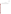#### **2.4 Reference Method**

The laboratory reference method to be used for this verification test is an EPA standard method for the analysis of drinking water. Each sample will be analyzed using gas chromatography / mass spectrometry (GC/MS) according to EPA Method  $525.2^4$ .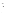## **3.0 MATERIALS AND EQUIPMENT**

In general, this verification test will rely on test kit materials and equipment provided by the vendors. Battelle will provide the following equipment and materials for the collection, preparation, storage, and shipment of test samples.

#### **3.1 Field Supplies**

The following supplies will be needed for the collection of field samples:

- 1-L or 2-L certified clean amber glass bottles fitted with polytetrafluoroethylene **(**TFE)-lined screw caps
- Solvent-rinsed foil to keep bottle caps contaminant-free during sampling
- Disposable latex gloves
- Sample labels
- Clear packing tape (to affix the sample label to bottle and seal the cooler for sample shipment)
- Chain-of-custody forms
- Bubble wrap to prevent sample breakage
- Coolers and blue ice packs for sample storage and shipping
- Address labels for the coolers.

#### **3.2 Laboratory Supplies**

The following laboratory supplies will be needed for the preparation of the PT and laboratory-fortified environmental samples and sample shipment. Vendors will provide all equipment needed to perform the immunoassay test kit analyses.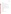- ASTM Type I water
- Class A volumetric flask
- $10$ - $\mu$ L to 500- $\mu$ L adjustable pipette and disposable tips
- Repeating pipette and disposable tips (volume appropriate for each test kit)
- Certified, commercially-available atrazine, hydroxyatrazine and desethyl atrazine standards
- Performance evaluation (PE) atrazine standard
- Dichloromethane, acetone, and/or methanol, as applicable (pesticide-grade or equivalent)
- Glass vials fitted with TFE-lined screw caps for test kit aliquots
- Pre-cleaned glass container of sufficient size to prepare atrazine-fortified samples
- 1-L certified clean amber glass bottles fitted with TFE-lined screw caps for reference sample aliquots
- Pre-cleaned glass container fitted with TFE-lined screw caps for DOC samples (provided by STL Burlington)
- Sample filtration equipment
- Conductivity meter
- Salinity refractometer
- Alkalinity meter
- pH meter capable of reading pH levels of 1 to 14
- Thermometers to measure air and water temperature
- Sample labels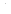- Clear packing tape (to affix sample label to bottles and seal cooler for sample shipment)
- Chain-of-custody forms
- Bubble wrap to prevent sample breakage
- Coolers and blue ice packs for sample shipping
- Address labels for the coolers.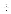#### **4.0 PROCEDURES**

#### **4.1 Environmental Sample Collection and Storage**

Before environmental sample collection, the total volume of sample material needed to complete all required analyses for both the test kit and reference methods at all required spike levels will be determined. Environmental samples will be collected within 21 days of the preparation of atrazine-fortified samples for the verification test.

The chlorinated drinking water sample from the Battelle laboratory will be collected directly from the tap into certified clean amber glass bottles. These samples will be stored in the dark at 4°C until test sample preparation (see Section 4.3). Fresh and brackish pond water samples will be collected directly into certified clean amber glass bottles. The samples will be collected at the surface of the water near the shoreline by submerging the containers no more than one inch below the surface of the water. The groundwater sample will be collected directly from a tap at the intake to a power plant in the Midwest, prior to any pretreatment of the water by the power plant.

Each sample will be assigned a unique sample identification (ID) number (see Section 4.4). The sample ID number, date, name of person collecting the sample, sample location, and time of collection will be recorded on a chain-of-custody form for all field samples. All environmental samples collected in the field will be stored at 4°C and shipped to the Battelle laboratory on the day of collection following chain-of-custody procedures (see Section 6.1).

#### **4.2 Equipment Calibration**

Table 2 identifies the laboratory equipment that require calibration. All equipment will be calibrated according to the criteria provided in Table 2. The spectrophotometer for immunoassay analyses will be provided by the vendor and will be calibrated in accordance with the manufacturer's recommended procedures.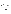| Equipment                                                                                            | <b>Calibration</b><br>Frequency                                                                                                                                     | <b>Acceptance Criteria</b>                                                                                                                                                                 | Reference                                                                                                                                              |  |
|------------------------------------------------------------------------------------------------------|---------------------------------------------------------------------------------------------------------------------------------------------------------------------|--------------------------------------------------------------------------------------------------------------------------------------------------------------------------------------------|--------------------------------------------------------------------------------------------------------------------------------------------------------|--|
| Refrigerator                                                                                         | Daily                                                                                                                                                               | Refrigerators: $4 \pm 2$ °C                                                                                                                                                                | Battelle SOP 3-095, Use of Laboratory<br>Refrigerators and Freezers                                                                                    |  |
| Thermometer                                                                                          | Glass – annually <sup>1</sup><br>Electronic - quarterly<br>at two temperatures<br>that bracket target<br>temperature(s) against<br>an NIST traceable<br>thermometer | Appropriate correction<br>factors applied                                                                                                                                                  | Battelle SOP 3-018, Calibration of<br><b>Laboratory Thermometers</b>                                                                                   |  |
| Variable volume<br>pipettes (i.e.,<br>Eppendorf)                                                     | Monthly                                                                                                                                                             | 3% of known of true value.                                                                                                                                                                 | ASTM E 542, Standard Practice for<br>Calibration o f Volumetric Apparatus,<br>and E 969, Standard Specification for<br>Volumetric (Transfer) Pipettes. |  |
| Nonvolumetric<br>glassware/<br>labware<br>(applicable only<br>when used for<br>measuring<br>volumes) | By lot at the time of<br>purchase                                                                                                                                   | 3% of known or true value.                                                                                                                                                                 | ASTM E 542, Standard Practice for<br>Calibration of Volumetric Ware                                                                                    |  |
| Salinity                                                                                             | Atago refractometer:<br>Calibrate prior to use<br>or every 30 minutes                                                                                               | Atago refractometer: adjust<br>the boundary line to 0.0%<br>when calibrated with<br>deionized water.                                                                                       | Battelle SOP 3-051, Use of Salinity<br><b>Refractometers</b>                                                                                           |  |
|                                                                                                      | Reichert-Jung<br>refractometer: Routine<br>calibration quarterly                                                                                                    | Reichert-Jung refractometer:<br>The instrument should be<br>checked using distilled or<br>deionized water to assure<br>that the reading departs from<br>zero by no more than<br>$0.05\%$ . |                                                                                                                                                        |  |
| Conductivity<br>meter                                                                                | Daily                                                                                                                                                               | One point calibration; within<br>5 % of the expected value                                                                                                                                 | Battelle SOP 3-161, Use of the Cole<br>Parmer TDSTestr 20 Conductivity<br>Meter                                                                        |  |
| pH meter                                                                                             | Prior to the analysis                                                                                                                                               | the pH measurement is<br>within 0.1 pH units                                                                                                                                               | Battelle SOP 3-170, Use of the pH<br>Testr2 pH meter                                                                                                   |  |
| Alkalinity meter                                                                                     | Prior to the analysis                                                                                                                                               | pH standards of 4 and 10<br>within $\pm$ 0.05 pH units                                                                                                                                     | Battelle SOP 5-256, Determination of<br>Alkalinity Using the Radiometer<br>Titralab                                                                    |  |

## **Table 2. Calibration Procedures for Sample Preparation and Physico-chemical Characterization**

<sup>1</sup>The criteria are defined for mercury thermometers. Battelle will apply the criteria to all glass thermometers.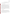#### **4.3 Test Sample Preparation and Storage**

Prior to test kit analysis, environmental samples will be filtered and characterized, and fortified PT samples will be prepared in the laboratory. These procedures are described below.

#### **4.3.1 Physico-chemical Characterization**

Prior to the physico-chemical characterization, the fresh and brackish pond water will be filtered with a 0.45 µm filter in the laboratory. All environmental samples will be measured for temperature using a thermometer following Battelle SOP 3-169<sup>5</sup>, for salinity using a refractometer following Battelle SOP 3-051 $<sup>6</sup>$ , for conductivity using a conductivity meter</sup> following Battelle SOP 3-161<sup>7</sup>, for alkalinity using an alkalinity meter following Battelle SOP 5-256<sup>8</sup>, and for pH using a pH meter following Battelle SOP 3-170<sup>9</sup>. All measurements will be recorded manually by the analyst on data sheets designed specifically for this verification test. All instruments used to measure physico-chemical parameters will be calibrated prior to use according to the SOPs (Table 2). Instrument model, serial number, and calibration information will be recorded on data sheets, and calibration records will be maintained in the study files. An aliquot of each environmental sample will be collected and shipped to the subcontract laboratory for DOC analysis according to Method  $9060^{10}$ .

#### **4.3.2 Sample Preparation**

The PT and fortified environmental samples will be prepared from certified, commercially-available standard solutions. The purchased standards will be diluted to the appropriate concentration using pesticide-grade or equivalent solvent in Class A volumetric glassware. All samples will be stored in the dark at 4°C until use. No other preservatives will be added to the samples because atrazine has been shown to be stable in water for up to two years when samples are stored under refrigerated conditions<sup>11</sup>. The PT and fortified environmental samples will be analyzed within 14 days of sample preparation.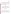Atrazine Test Kits Test/QA Plan Page 22 of 36 Version 1.0 Date: September 15, 2003

Each sample will be split into 1-L and 100-mL aliquots. The 100-mL aliquots will be retained for test kit analysis and stored in the dark at 4°C until use. Two 1-L aliquots will be sent to the EPA Environmental Chemistry Laboratory at the Stennis Space Center for reference analysis. The chlorinated water sample will be treated with sodium sulfite according to Method 525.2 at the reference laboratory prior to analysis. The samples for reference analysis will be stored in the dark in amber glass bottles at 4°C until extraction. The reference method sample extraction will be performed within 14 days of sample preparation (i.e., spiking), and analysis will be performed within 30 days of sample extraction.

#### **4.4 Sample Identification**

All samples will be assigned a unique sample ID number at the time of preparation. The sample ID will include a survey code and sequential number, and will not contain information about the nature of the sample (i.e., the samples will be blind to the test kit analyst). A master log of the sample description, sample ID number, and preparation date will be maintained by Battelle. Each sample container will be labeled with the sample ID, container number (e.g. 1 of 3), preparation date, and initials of the person preparing the sample.

#### **4.5 Sample Analysis**

#### **4.5.1 Test Kits**

Each vendor will provide test kits and other necessary equipment (e.g. vortexer, spectrophotometer) for the analysis of all samples. The full set of samples listed in Table 1 will be analyzed by each test kit. The vendors are encouraged to train the analyst prior to test kit analysis. A technical staff member from a partner organization with previous experience in performing immunoassay analyses will analyze the complete set of samples for each technology. The analyses will be performed according to the vendor's recommended procedures as described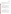in the test kit instructions or user manual. Calibration and maintenance of the test kits will be performed as specified by the vendor.

Test kit results will be recorded manually by the analyst on data sheets designed specifically for this verification test. In addition to the test kit results, the data sheets will include records of the time required for sample analysis and operator observations concerning the use of the test kit (e.g. ease of use, maintenance, etc.).

#### **4.5.2 Reference Method**

The reference method for analysis of atrazine will be performed on a Hewlett-Packard 5971 GC/MS or equivalent by EPA's Environmental Chemistry Laboratory. The reference instrument will be operated according to the recommended procedures in the instrument operating manual, and samples will be analyzed according to EPA Method 525.2, "Determination of Organic Compounds in Drinking Water by Liquid-Solid Extraction and Capillary Column Gas Chromatography/Mass Spectrometry"<sup>4</sup>.

Results from the reference analyses will be recorded electronically and compiled by the laboratory into a report format, including the sample ID and the analyte concentration for each sample.

#### **4.6 Schedule**

The sample collection, preparation, and analysis are expected to take place over a fourweek period. The time period for each activity should be considered approximate. Table 3 lists the activities to be conducted and a nominal schedule.

All samples will be analyzed by one test kit before proceeding to the next test kit. Analysis of all samples using a single test kit is expected to take no longer than one day. Test conditions will be kept as similar as possible throughout the duration of the test (e.g., air temperature and lighting conditions) to minimize error introduced by variable test conditions.

Participating vendors must provide the test kits and other sample analysis equipment to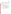Battelle one week before the start of sample analysis, so that technical staff may become familiar with the kits and equipment prior to test initiation. This period will also be used to clarify any questions about the test kit's operation. Vendor staff may be present for this familiarization stage and may provide training in the operation of the test kits. During the verification test, the test kits will be operated by partner organization staff. Vendors are encouraged to stay and observe during the duration of the tests. Unused test kits and associated equipment will be returned to the vendors at the completion of testing.

| <b>Testing Period</b> | <b>Test Location</b>        | <b>Activity</b>                                        |  |
|-----------------------|-----------------------------|--------------------------------------------------------|--|
| Days 1-21             | <b>Field locations</b>      | Collection of environmental samples and shipment to    |  |
|                       |                             | <b>Battelle</b> laboratory                             |  |
| Days 14-21            | <b>Battelle Laboratory</b>  | Receive test kits and supplies from vendor; test kit   |  |
|                       |                             | familiarization                                        |  |
| Day 18                | <b>Battelle Laboratory</b>  | Environmental sample filtration                        |  |
| Day 21                | <b>Battelle Laboratory</b>  | Training, environmental sample physico-chemical        |  |
|                       |                             | characterization, test sample preparation, shipment of |  |
|                       |                             | reference samples and DOC samples to appropriate       |  |
|                       |                             | laboratories                                           |  |
| Days 22-28            | <b>Battelle Laboratory</b>  | Analysis of all samples using test kits                |  |
| Days 22-52            | <b>EPA</b> Environmental    | Analysis of reference samples                          |  |
|                       | <b>Chemistry Laboratory</b> |                                                        |  |
| Days 22-52            | <b>STL Burlington</b>       | Analysis of environmental water samples for DOC        |  |

**Table 3. Approximate Schedule of Verification Test Days**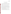#### **5.0 DATA HANDLING AND REPORTING**

#### **5.1 Data Acquisition and Review**

Various types of data will be acquired and recorded electronically or manually by Battelle and partner organization technical staff during this verification test. Table 4 summarizes the types of data to be recorded. All data and observations will be documented on data sheets or in laboratory record books. Results from the laboratory reference instruments will be compiled in electronic format.

Records received by or generated by Battelle or partner organization staff in the verification test will be reviewed by a more Battelle senior staff member within two weeks after receipt or generation, respectively, before the records are used to calculate, evaluate, or report verification results. This review will be performed by a Battelle technical staff member involved in the verification test, but not the staff member that originally received or generated the record. The review will be documented by the person performing the review by adding his/her initials and date to a hard copy of the record being reviewed. This hard copy will then be returned to the Battelle staff member who will be storing the record.

In addition, data calculations performed by Battelle will be spot-checked by Battelle technical staff to ensure that calculations are performed correctly. Calculations to be checked include and statistical calculations described in this test/QA plan.

The data obtained from this verification test will be compiled and reported independently for each test kit. Results for test kits from different vendors will not be compared with each other.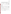| Data to be<br><b>Recorded</b>                                                                                                             | <b>Responsible</b><br>Party                   | Where<br><b>Recorded</b>                                                | <b>How often</b><br><b>Recorded</b>                             | Disposition of data <sup>(a)</sup>                                                                       |
|-------------------------------------------------------------------------------------------------------------------------------------------|-----------------------------------------------|-------------------------------------------------------------------------|-----------------------------------------------------------------|----------------------------------------------------------------------------------------------------------|
| Dates and times of<br>test events                                                                                                         | <b>Battelle</b> or<br>partner<br>organization | ETV data sheets                                                         | Start/end of test, and<br>at each change of a<br>test parameter | Used to organize/check<br>test results; manually<br>incorporated in data<br>spreadsheets as<br>necessary |
| Calibration<br>information and<br>results for physico-<br>chemical<br>parameters<br>(temperature,<br>salinity, pH,<br>conductivity, etc.) | <b>Battelle</b>                               | ETV data sheets                                                         | Prior to sample<br>preparation                                  | Manually incorporated<br>in data spreadsheets as<br>necessary                                            |
| Sample collection<br>and preparation<br>information,<br>including chain-of-<br>custody                                                    | <b>Battelle</b> or<br>partner<br>organization | ETV data sheets<br>and chain-of-<br>custody forms                       | At time of sample<br>collection and<br>preparation              | Used to organize/check<br>test results; manually<br>incorporated in data<br>spreadsheets as<br>necessary |
| Test kit procedures<br>and sample results                                                                                                 | Battelle or<br>partner<br>organization        | ETV data sheets                                                         | Throughout test<br>duration                                     | Manually incorporated<br>in data spreadsheets                                                            |
| Reference method<br>procedures and<br>sample results                                                                                      | Battelle or<br>partner<br>organization        | ETV data sheets,<br>or data<br>acquisition<br>system, as<br>appropriate | Throughout sample<br>analysis process                           | Transferred to<br>spreadsheets                                                                           |
| DOC analysis<br>procedures and<br>sample results                                                                                          | Subcontract<br>laboratory                     | ETV data sheets,<br>or data<br>acquisition<br>system, as<br>appropriate | Throughout sample<br>analysis process                           | Transferred to<br>spreadsheets                                                                           |

**Table 4. Summary of Data Recording Process for the Verification Test** 

(a) All activities subsequent to data recording are carried out by Battelle.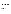#### **5.2 Data Analysis**

Procedures for analyzing the data produced in the verification test are described in this section.

#### **5.2.1 Accuracy**

For test kits that provide quantitative results, PT sample accuracy will be assessed relative to the spike level, and environmental sample accuracy will be assessed relative to the reference method results. The results for each set of analyses will be averaged, and the accuracy will be expressed in terms of a percent recovery (R) as calculated from Equation 1:

$$
R = C / C_R \times 100 \tag{1}
$$

where  $\overline{C}$  is the average concentration measured by the test kit and  $C_R$  is the spike level for the PT samples and the reference measurement for the environmental samples.

For qualitative results, accuracy will be assessed by determining whether the test kit result agrees with the reference method result. An overall percent agreement will be determined by dividing the number of correct responses to the overall number of analyses.

#### **5.2.2 Precision**

For test kits that provide quantitative results, the standard deviation (S) of the results for the three replicate samples will be calculated for each sample using Equation 2:

$$
S = \left[\frac{1}{n-1} \sum_{k=1}^{n} \left(C_k - \overline{C}\right)^2\right]^{1/2} \tag{2}
$$

where n is the number of replicate samples,  $C_k$  is the concentration measured for the  $k<sup>th</sup>$  sample, and  $\overline{C}$  is the average concentration of the replicate samples. The precision for each sample will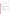be reported in terms of the relative standard deviation (RSD) as calculated using Equation 3:

$$
RSD = \left| \frac{S}{\overline{C}} \right| \times 100 \tag{3}
$$

For test kits that provide qualitative results, precision will be assessed by calculating the percentage of consistent responses.

#### **5.2.3 Linearity**

For test kits that provide quantitative results, linearity will be assessed by performing a linear regression with the spiked analyte concentration as the independent variable, and the individual test kit result as the dependent variable. Individual replicate results for the five PT samples will be used in the linear regression. Linearity will be expressed in terms of the slope, intercept, and correlation coefficient (r).

#### **5.2.4 Method Detection Limit**

The method detection limit for each test kit will be assessed using results from seven replicate analyses of a sample spiked at a level of two times the vendor-stated test kit detection limit. The standard deviation of the seven replicate samples will be calculated using Equation 2. The MDL will be calculated using Equation 4:

$$
MDL = t \times S \tag{4}
$$

Where t is the Student's t value for a 99% confidence level and S is the standard deviation of the seven replicate samples.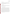#### **5.2.5 Cross Reactivity**

The cross reactivity of the test kits to the atrazine degradation products hydroxyatrazine and desethyl atrazine will be assessed qualitatively by evaluating the test kit results for samples that contain only the degradation compound, but not atrazine. The reference analysis results will be used to confirm the absence of atrazine in the samples.

#### **5.2.6 Matrix Interferences**

The potential effect of the sample matrix on the test kit performance will be evaluated qualitatively by comparing the accuracy and precision results for the natural and atrazine-fortified environmental samples to those for the PT samples.

#### **5.2.7 False Positives/False Negatives**

For quantitative and semi-quantitative technologies, the occurrence of false positive and false negative results will be assessed relative to the test kit's lowest calibration standard. A false positive is defined as a positive test kit result when reference method analysis indicates that the atrazine concentration in the sample is below the test kit's lowest calibration standard. A false negative will be defined as a negative test kit result when the reference method analysis indicates that the atrazine concentration in the sample is above the test kit's lowest calibration standard. For qualitative technologies, a false positive is defined as a positive test kit result when the reference method analysis indicates that the atrazine concentration in the sample is below the threshold value  $(+10\%)$  of the kit. A false negative is defined as a negative test kit result when the reference method analysis indicates that the atrazine concentration in the sample is above the threshold value  $(+10\%)$  of the kit. The rate of false positives/false negatives will be expressed as a percentage of total number of samples. Reagent blanks, PT samples, and environmental samples will be included in the analysis.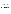#### **5.3 Reporting**

The data obtained in the verification test will be compiled separately for each test kit, and the data evaluation methods described in Section 5.2 will be applied to each data set without comparison to any other technology. At no time will data for test kits from different vendors be intercompared or ranked. Following completion of the data evaluation, a draft verification report will be prepared for each test kit. The verification report will describe the verification test procedures and document the results. Each draft verification report will each be submitted to the corresponding vendor for review and comment. Each draft report will be revised in response to the comments provided by the vendor. The revised reports will be submitted for external peer review. The reports will be revised again to address the peer review comments, and then submitted to EPA for final approval.

A verification statement will also be prepared for each test kit. The verification statement is a 2- to 3-page summary of the technology, test procedures, and results. The verification statement will follow the same review and revision process as the verification reports. Upon final approval by EPA, each verification statement will be signed by a senior Battelle manager and an EPA laboratory director. Final verification reports and statements will be posted on the ETV website (http://www.epa.gov/etv), and original signed verification statements will be provided to the vendor.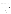## **6.0 QUALITY ASSURANCE /QUALITY CONTROL**

The QA/QC activities associated with this verification test will focus primarily on sample preparation and handling, data recording and analysis, and reference laboratory analysis. An independent audit covering each of these areas will be performed by the Battelle Quality Manager to ensure the quality of the verification test.

#### **6.1 Sample Chain-of-Custody Procedures**

Sample custody will be documented throughout collection, shipping, and analysis of the samples. Sample chain-of-custody procedures will be in accordance with the Battelle SOP 6-010, *Sample Receipt, Custody, and Handling*<sup>11</sup>*.* The chain-of-custody form summarizes the samples collected and analyses requested. The custody form will track sample release from the field to the Battelle laboratory, and from the Battelle laboratory to the subcontract laboratory and EPA's Environmental Chemistry Laboratory. Each sample custody form will be signed by the person relinquishing samples once that person has verified that the custody form is accurate. The original sample custody forms accompany the samples; the shipper will keep a copy. Upon receipt at the sample destination, sample custody forms will be signed by the person receiving the samples once that person has verified that all samples identified on the custody forms are present in the shipping container. Any discrepancies will be noted on the form and the sample receiver will immediately contact the Verification Test Coordinator to report missing, broken, or compromised samples.

#### **6.2 Audits**

#### **6.2.1 Technical Systems Audit**

The Battelle Quality Manager or his designee will conduct a technical systems audit at least once during the course of the verification test. The purpose of this audit is to ensure that the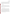verification test is being performed in accordance with this test/QA plan and the AMS Center  $QMP<sup>1</sup>$ , and that all procedures described in this test/ $QA$  plan are being followed. This audit will review the standards and methods used, compare actual test procedures to those specified in this test/QA plan, and review data acquisition and handling procedures. An independent technical systems audit may also be performed by EPA Quality Management staff during the verification test at EPA's discretion.

#### **6.2.2 Data Quality Audit**

At least 10% percent of the data acquired during the verification test will be audited during the verification test. Battelle's Quality Manager or his designee will trace the data from its initial acquisition, through reduction and statistical analysis, to final reporting, to ensure the integrity of the reported results. All calculations performed on the data undergoing the audit will be checked.

#### **6.2.3 Performance Evaluation Audit**

A performance evaluation (PE) audit will be conducted to assess the quality of the reference measurements made in this verification test. A PE audit involves challenging the reference instrument with a standard that is independent of the one used to calibrate the instrument for the test. For the PE audit, a certified standard will be obtained from a commercial supplier other than the one that supplied the standard for the preparation of PT and fortified environmental samples, or the one used to calibrate the reference instrument. The PE sample result must be within the certified range to be considered acceptable. Failure to achieve this agreement will trigger recalibration of the reference instrument with the original QC standard, and a repeat of the PE comparison. Failure in the second comparison requires obtaining another set of standards, and repeating the performance audit.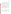#### **6.3 Reference Method QC**

The performance of the reference method will be demonstrated through the analysis of QC samples. Laboratory RB samples will be analyzed to ensure that no sources of contamination are present. If the analysis of a laboratory RB sample indicates a concentration above the method detection limit (MDL) for the reference instrument, then contamination will be suspected. Any contamination source(s) will be corrected, and proper blank readings will be achieved, before proceeding with the reference analyses.

The accuracy of the reference method will be verified before the beginning and at the conclusion of each testing day. The instrument to be used for reference analyses will be initially calibrated according to the procedures specified in the reference method. The instrument calibration will be verified using an appropriate calibration check sample. If the result for the calibration check sample differs by more than  $\pm 20\%$  from the value of the standard, then the instrument will be recalibrated before continuation of the test.

Laboratory matrix spike samples will be analyzed at a frequency of at least 5% to assess whether matrix effects potentially influence the results of the reference analyses. The percent recovery (R) of the laboratory matrix spikes will be calculated from the following Equation 5:

$$
R = \frac{C_s - C}{s} \times 100\tag{5}
$$

where  $C_s$  is the analyzed concentration of the spiked sample, C is the analyzed concentration of the unspiked sample, and s is the concentration equivalent of the analyte spike. If the percent recovery of a matrix spike sample falls outside the range from 70-130%, then a matrix effect will be suspected.

Analytical duplicates will be analyzed at a frequency of at least 5% to assess analytical precision. The relative percent difference (RPD) between the two duplicates should be within 30%.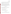A Laboratory Fortified Blank (LFB) sample will be analyzed with each set of samples to determine whether the methodology is in control. If the recovery of the LFB falls out of the range of 70-130% of the actual concentration, then work should be stopped until the source of the problem is identified.

Upon completion of the data package and draft final report, the EPA Environmental Chemistry Laboratory QA Officer will review all data and results for accuracy, precision, completeness, and representativeness. The QA Officer also will conduct a review of the project with the Lead Chemist and present the findings to the Environmental Chemistry Laboratory Branch Chief for review and comment before approving the final report. The QA Officer may at any time selectively review any data during tabulation, and will be available for consultation with the Lead Chemist regarding any QAPP deviations and corrective action.

#### **6.4 QA/QC Reporting**

Each assessment and audit will be documented in accordance with Section 3.3.4 of the AMS Center QMP<sup>1</sup>. The results of the technical systems audit will be submitted to EPA. Assessment reports will include the following:

- Identification of any adverse findings or potential problems.
- Response to adverse findings or potential problems.
- Recommendations for resolving problems.
- Confirmation that solutions have been implemented and are effective.
- Citation of any noteworthy practices that may be of use to others.

#### **6.5 Corrective Action**

During the course of any assessment or audit, the Battelle Quality Manager will inform the technical staff of any immediate corrective action that should be taken. If serious quality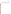problems exist, the Battelle Quality Manager is authorized to stop work. Once the assessment report has been prepared, the Verification Test Coordinator will ensure that a response is provided for each adverse finding or potential problem, and will implement any necessary follow-up corrective action. The Battelle Quality Manager will ensure that follow-up corrective action has been taken.